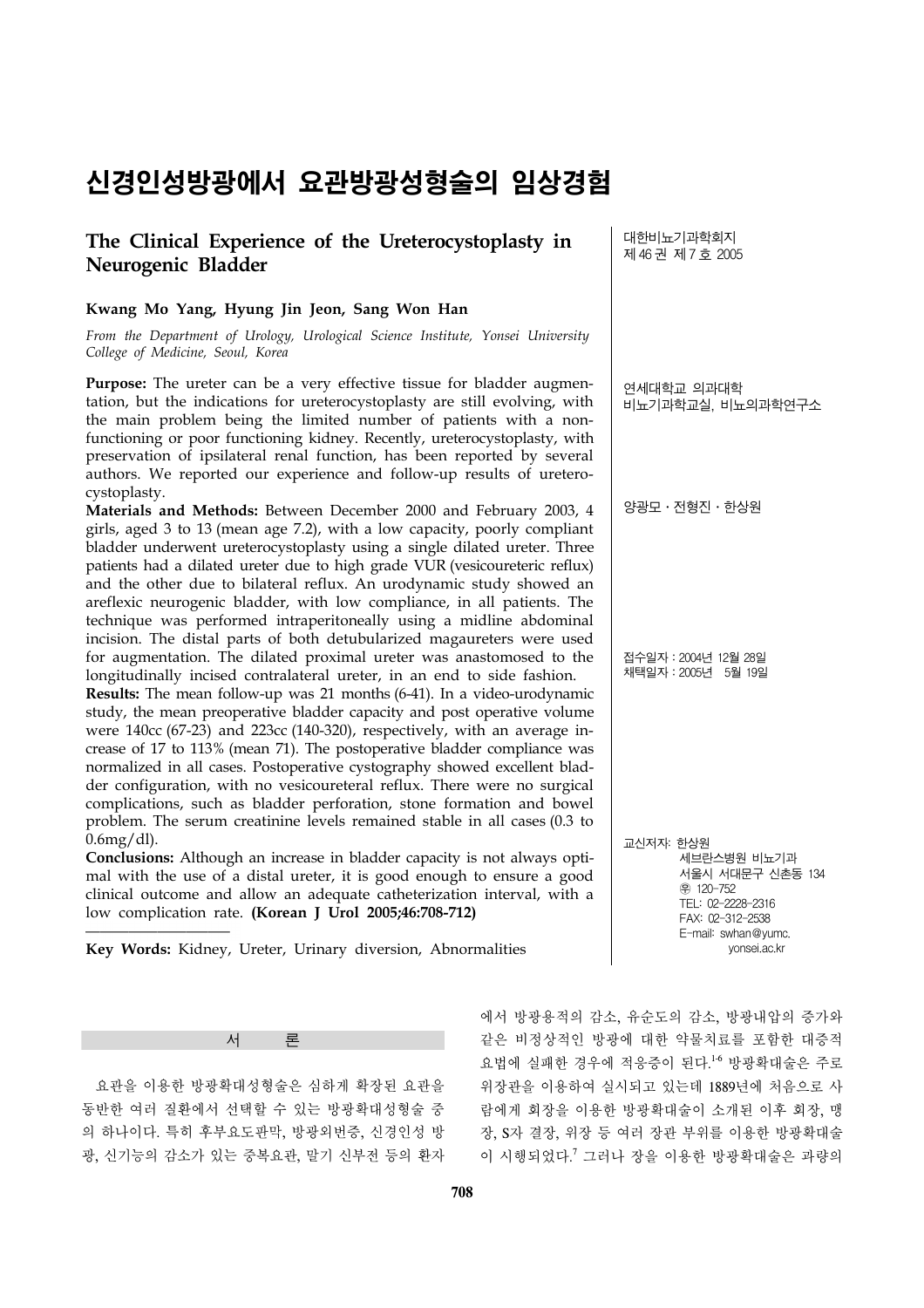# 신경인성방광에서 요관방광성형술의 임상경험

# **The Clinical Experience of the Ureterocystoplasty in Neurogenic Bladder**

# **Kwang Mo Yang, Hyung Jin Jeon, Sang Won Han**

*From the Department of Urology, Urological Science Institute, Yonsei University College of Medicine, Seoul, Korea*

Purpose: The ureter can be a very effective tissue for bladder augmentation, but the indications for ureterocystoplasty are still evolving, with the main problem being the limited number of patients with a nonfunctioning or poor functioning kidney. Recently, ureterocystoplasty, with preservation of ipsilateral renal function, has been reported by several authors. We reported our experience and follow-up results of ureterocystoplasty.

**Materials and Methods:** Between December 2000 and February 2003, 4 girls, aged 3 to 13 (mean age 7.2), with a low capacity, poorly compliant bladder underwent ureterocystoplasty using a single dilated ureter. Three patients had a dilated ureter due to high grade VUR (vesicoureteric reflux) and the other due to bilateral reflux. An urodynamic study showed an areflexic neurogenic bladder, with low compliance, in all patients. The technique was performed intraperitoneally using a midline abdominal incision. The distal parts of both detubularized magaureters were used for augmentation. The dilated proximal ureter was anastomosed to the longitudinally incised contralateral ureter, in an end to side fashion.

**Results:** The mean follow-up was 21 months (6-41). In a video-urodynamic study, the mean preoperative bladder capacity and post operative volume were 140cc (67-23) and 223cc (140-320), respectively, with an average increase of 17 to 113% (mean 71). The postoperative bladder compliance was normalized in all cases. Postoperative cystography showed excellent bladder configuration, with no vesicoureteral reflux. There were no surgical complications, such as bladder perforation, stone formation and bowel problem. The serum creatinine levels remained stable in all cases (0.3 to  $0.6$ mg $/dl$ ).

**Conclusions:** Although an increase in bladder capacity is not always optimal with the use of a distal ureter, it is good enough to ensure a good clinical outcome and allow an adequate catheterization interval, with a low complication rate. **(Korean J Urol 2005;46:708-712)**

**Key Words:** Kidney, Ureter, Urinary diversion, Abnormalities

대한비뇨기과학회지 제 46 권 제 7 호 2005

연세대학교 의과대학 비뇨기과학교실, 비뇨의과학연구소

양광모․전형진․한상원

접수일자:2004년 12월 28일 채택일자:2005년 5월 19일

교신저자: 한상원 세브란스병원 비뇨기과 서울시 서대문구 신촌동 134 ꂕ 120-752 TEL: 02-2228-2316 FAX: 02-312-2538 E-mail: swhan@yumc. yonsei.ac.kr

서 론

 요관을 이용한 방광확대성형술은 심하게 확장된 요관을 동반한 여러 질환에서 선택할 수 있는 방광확대성형술 중 의 하나이다. 특히 후부요도판막, 방광외번증, 신경인성 방 광, 신기능의 감소가 있는 중복요관, 말기 신부전 등의 환자 에서 방광용적의 감소, 유순도의 감소, 방광내압의 증가와 같은 비정상적인 방광에 대한 약물치료를 포함한 대증적 요법에 실패한 경우에 적응증이 된다. 1-6 방광확대술은 주로 위장관을 이용하여 실시되고 있는데 1889년에 처음으로 사 람에게 회장을 이용한 방광확대술이 소개된 이후 회장, 맹 장, S자 결장, 위장 등 여러 장관 부위를 이용한 방광확대술 이 시행되었다. <sup>7</sup> 그러나 장을 이용한 방광확대술은 과량의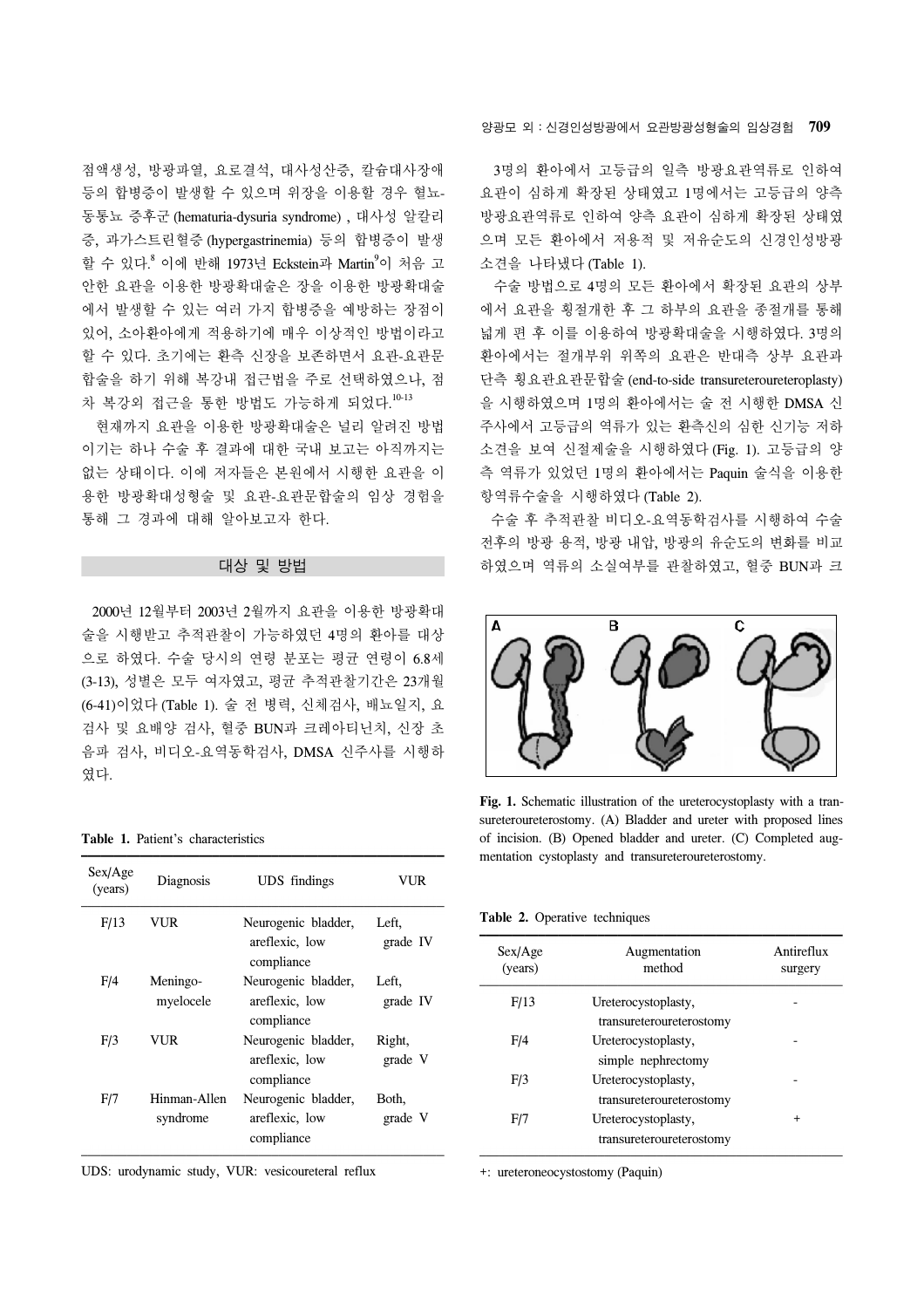점액생성, 방광파열, 요로결석, 대사성산증, 칼슘대사장애 등의 합병증이 발생할 수 있으며 위장을 이용할 경우 혈뇨-동통뇨 증후군 (hematuria-dysuria syndrome) , 대사성 알칼리 증, 과가스트린혈증 (hypergastrinemia) 등의 합병증이 발생 할 수 있다.<sup>8</sup> 이에 반해 1973년 Eckstein과 Martin<sup>9</sup>이 처음 고 안한 요관을 이용한 방광확대술은 장을 이용한 방광확대술 에서 발생할 수 있는 여러 가지 합병증을 예방하는 장점이 있어, 소아환아에게 적용하기에 매우 이상적인 방법이라고 할 수 있다. 초기에는 환측 신장을 보존하면서 요관-요관문 합술을 하기 위해 복강내 접근법을 주로 선택하였으나, 점 차 복강외 접근을 통한 방법도 가능하게 되었다.<sup>10-13</sup>

 현재까지 요관을 이용한 방광확대술은 널리 알려진 방법 이기는 하나 수술 후 결과에 대한 국내 보고는 아직까지는 없는 상태이다. 이에 저자들은 본원에서 시행한 요관을 이 용한 방광확대성형술 및 요관-요관문합술의 임상 경험을 통해 그 경과에 대해 알아보고자 한다.

## 대상 및 방법

 2000년 12월부터 2003년 2월까지 요관을 이용한 방광확대 술을 시행받고 추적관찰이 가능하였던 4명의 환아를 대상 으로 하였다. 수술 당시의 연령 분포는 평균 연령이 6.8세 (3-13), 성별은 모두 여자였고, 평균 추적관찰기간은 23개월 (6-41)이었다 (Table 1). 술 전 병력, 신체검사, 배뇨일지, 요 검사 및 요배양 검사, 혈중 BUN과 크레아티닌치, 신장 초 음파 검사, 비디오-요역동학검사, DMSA 신주사를 시행하 였다.

#### **Table 1.** Patient's characteristics

| Sex/Age<br>(years) | Diagnosis                | <b>UDS</b> findings                                 | VUR               |  |
|--------------------|--------------------------|-----------------------------------------------------|-------------------|--|
| F/13               | VUR                      | Neurogenic bladder,<br>areflexic, low<br>compliance | Left,<br>grade IV |  |
| F/4                | Meningo-<br>myelocele    | Neurogenic bladder,<br>areflexic, low<br>compliance | Left,<br>grade IV |  |
| F/3                | VUR                      | Neurogenic bladder,<br>areflexic, low<br>compliance | Right,<br>grade V |  |
| F/7                | Hinman-Allen<br>syndrome | Neurogenic bladder,<br>areflexic, low<br>compliance | Both,<br>grade V  |  |

UDS: urodynamic study, VUR: vesicoureteral reflux

양광모 외:신경인성방광에서 요관방광성형술의 임상경험 **709**

 3명의 환아에서 고등급의 일측 방광요관역류로 인하여 요관이 심하게 확장된 상태였고 1명에서는 고등급의 양측 방광요관역류로 인하여 양측 요관이 심하게 확장된 상태였 으며 모든 환아에서 저용적 및 저유순도의 신경인성방광 소견을 나타냈다 (Table 1).

 수술 방법으로 4명의 모든 환아에서 확장된 요관의 상부 에서 요관을 횡절개한 후 그 하부의 요관을 종절개를 통해 넓게 편 후 이를 이용하여 방광확대술을 시행하였다. 3명의 환아에서는 절개부위 위쪽의 요관은 반대측 상부 요관과 단측 횡요관요관문합술 (end-to-side transureteroureteroplasty) 을 시행하였으며 1명의 환아에서는 술 전 시행한 DMSA 신 주사에서 고등급의 역류가 있는 환측신의 심한 신기능 저하 소견을 보여 신절제술을 시행하였다 (Fig. 1). 고등급의 양 측 역류가 있었던 1명의 환아에서는 Paquin 술식을 이용한 항역류수술을 시행하였다 (Table 2).

 수술 후 추적관찰 비디오-요역동학검사를 시행하여 수술 전후의 방광 용적, 방광 내압, 방광의 유순도의 변화를 비교 하였으며 역류의 소실여부를 관찰하였고, 혈중 BUN과 크



**Fig. 1.** Schematic illustration of the ureterocystoplasty with a transureteroureterostomy. (A) Bladder and ureter with proposed lines of incision. (B) Opened bladder and ureter. (C) Completed augmentation cystoplasty and transureteroureterostomy.

**Table 2.** Operative techniques

| Sex/Age<br>(years) | Augmentation<br>method                          | Antireflux<br>surgery |
|--------------------|-------------------------------------------------|-----------------------|
| F/13               | Ureterocystoplasty,<br>transureteroureterostomy |                       |
| F/4                | Ureterocystoplasty,<br>simple nephrectomy       |                       |
| F/3                | Ureterocystoplasty,<br>transureteroureterostomy |                       |
| F/7                | Ureterocystoplasty,<br>transureteroureterostomy | $\,^+$                |

+: ureteroneocystostomy (Paquin)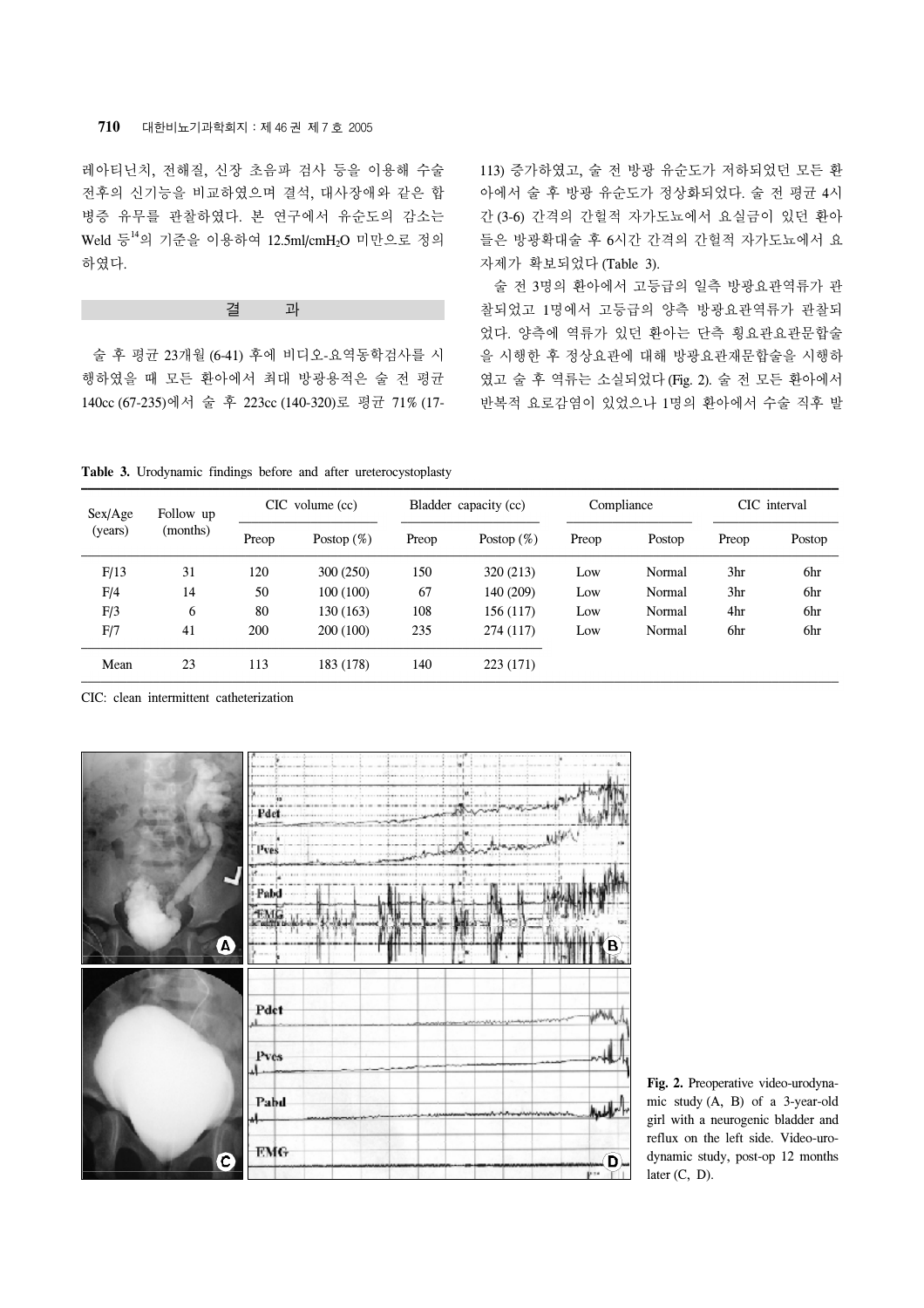# **710** 대한비뇨기과학회지:제 46 권 제 7 호 2005

레아티닌치, 전해질, 신장 초음파 검사 등을 이용해 수술 전후의 신기능을 비교하였으며 결석, 대사장애와 같은 합 병증 유무를 관찰하였다. 본 연구에서 유순도의 감소는 Weld 등<sup>14</sup>의 기준을 이용하여 12.5ml/cmH2O 미만으로 정의 하였다.

# 결 과

 술 후 평균 23개월 (6-41) 후에 비디오-요역동학검사를 시 행하였을 때 모든 환아에서 최대 방광용적은 술 전 평균 140cc (67-235)에서 술 후 223cc (140-320)로 평균 71% (17113) 증가하였고, 술 전 방광 유순도가 저하되었던 모든 환 아에서 술 후 방광 유순도가 정상화되었다. 술 전 평균 4시 간 (3-6) 간격의 간헐적 자가도뇨에서 요실금이 있던 환아 들은 방광확대술 후 6시간 간격의 간헐적 자가도뇨에서 요 자제가 확보되었다 (Table 3).

 술 전 3명의 환아에서 고등급의 일측 방광요관역류가 관 찰되었고 1명에서 고등급의 양측 방광요관역류가 관찰되 었다. 양측에 역류가 있던 환아는 단측 횡요관요관문합술 을 시행한 후 정상요관에 대해 방광요관재문합술을 시행하 였고 술 후 역류는 소실되었다 (Fig. 2). 술 전 모든 환아에서 반복적 요로감염이 있었으나 1명의 환아에서 수술 직후 발

**Table 3.** Urodynamic findings before and after ureterocystoplasty

| Sex/Age | Follow up | $CIC$ volume $(cc)$ |               | Bladder capacity (cc) |               | Compliance |        | CIC interval    |        |
|---------|-----------|---------------------|---------------|-----------------------|---------------|------------|--------|-----------------|--------|
| (years) | (months)  | Preop               | Postop $(\%)$ | Preop                 | Postop $(\%)$ | Preop      | Postop | Preop           | Postop |
| F/13    | 31        | 120                 | 300(250)      | 150                   | 320 (213)     | Low        | Normal | 3 <sub>hr</sub> | 6hr    |
| F/4     | 14        | 50                  | 100(100)      | 67                    | 140 (209)     | Low        | Normal | 3 <sub>hr</sub> | 6hr    |
| F/3     | 6         | 80                  | 130 (163)     | 108                   | 156 (117)     | Low        | Normal | 4hr             | 6hr    |
| F/7     | 41        | 200                 | 200 (100)     | 235                   | 274(117)      | Low        | Normal | 6hr             | 6hr    |
| Mean    | 23        | 113                 | 183 (178)     | 140                   | 223 (171)     |            |        |                 |        |

CIC: clean intermittent catheterization



**Fig. 2.** Preoperative video-urodynamic study (A, B) of a 3-year-old girl with a neurogenic bladder and reflux on the left side. Video-urodynamic study, post-op 12 months later  $(C, D)$ .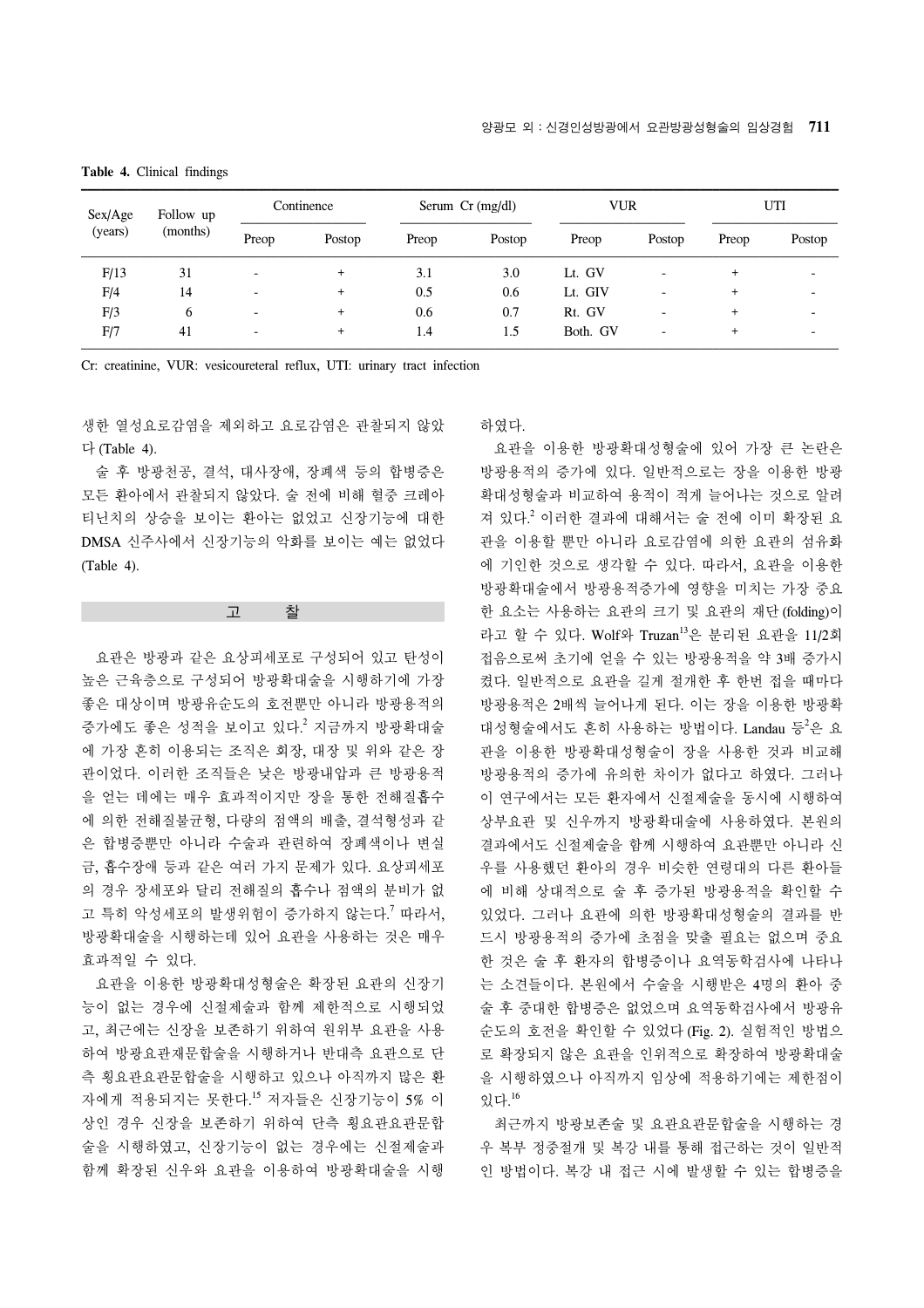| Sex/Age | Follow up | Continence |        | Serum $Cr$ (mg/dl) |        | VUR      |                          | UTI       |                          |
|---------|-----------|------------|--------|--------------------|--------|----------|--------------------------|-----------|--------------------------|
| (years) | (months)  | Preop      | Postop | Preop              | Postop | Preop    | Postop                   | Preop     | Postop                   |
| F/13    | 31        | -          |        | 3.1                | 3.0    | Lt. GV   | $\overline{\phantom{a}}$ | $\ddot{}$ | $\overline{\phantom{0}}$ |
| F/4     | 14        |            |        | 0.5                | 0.6    | Lt. GIV  |                          | $\div$    |                          |
| F/3     | 6         |            | $\div$ | 0.6                | 0.7    | Rt. GV   | $\qquad \qquad$          | $\ddot{}$ |                          |
| F/7     | 41        |            |        | 1.4                | 1.5    | Both. GV | $\overline{\phantom{0}}$ | $\ddot{}$ |                          |

**Table 4.** Clinical findings

Cr: creatinine, VUR: vesicoureteral reflux, UTI: urinary tract infection

생한 열성요로감염을 제외하고 요로감염은 관찰되지 않았 다 (Table 4).

 술 후 방광천공, 결석, 대사장애, 장폐색 등의 합병증은 모든 환아에서 관찰되지 않았다. 술 전에 비해 혈중 크레아 티닌치의 상승을 보이는 환아는 없었고 신장기능에 대한 DMSA 신주사에서 신장기능의 악화를 보이는 예는 없었다 (Table 4).

#### 고 찰

 요관은 방광과 같은 요상피세포로 구성되어 있고 탄성이 높은 근육층으로 구성되어 방광확대술을 시행하기에 가장 좋은 대상이며 방광유순도의 호전뿐만 아니라 방광용적의 증가에도 좋은 성적을 보이고 있다. <sup>2</sup> 지금까지 방광확대술 에 가장 흔히 이용되는 조직은 회장, 대장 및 위와 같은 장 관이었다. 이러한 조직들은 낮은 방광내압과 큰 방광용적 을 얻는 데에는 매우 효과적이지만 장을 통한 전해질흡수 에 의한 전해질불균형, 다량의 점액의 배출, 결석형성과 같 은 합병증뿐만 아니라 수술과 관련하여 장폐색이나 변실 금, 흡수장애 등과 같은 여러 가지 문제가 있다. 요상피세포 의 경우 장세포와 달리 전해질의 흡수나 점액의 분비가 없 고 특히 악성세포의 발생위험이 증가하지 않는다. <sup>7</sup> 따라서, 방광확대술을 시행하는데 있어 요관을 사용하는 것은 매우 효과적일 수 있다.

 요관을 이용한 방광확대성형술은 확장된 요관의 신장기 능이 없는 경우에 신절제술과 함께 제한적으로 시행되었 고, 최근에는 신장을 보존하기 위하여 원위부 요관을 사용 하여 방광요관재문합술을 시행하거나 반대측 요관으로 단 측 횡요관요관문합술을 시행하고 있으나 아직까지 많은 환 자에게 적용되지는 못한다. <sup>15</sup> 저자들은 신장기능이 5% 이 상인 경우 신장을 보존하기 위하여 단측 횡요관요관문합 술을 시행하였고, 신장기능이 없는 경우에는 신절제술과 함께 확장된 신우와 요관을 이용하여 방광확대술을 시행

## 하였다.

 요관을 이용한 방광확대성형술에 있어 가장 큰 논란은 방광용적의 증가에 있다. 일반적으로는 장을 이용한 방광 확대성형술과 비교하여 용적이 적게 늘어나는 것으로 알려 져 있다. <sup>2</sup> 이러한 결과에 대해서는 술 전에 이미 확장된 요 관을 이용할 뿐만 아니라 요로감염에 의한 요관의 섬유화 에 기인한 것으로 생각할 수 있다. 따라서, 요관을 이용한 방광확대술에서 방광용적증가에 영향을 미치는 가장 중요 한 요소는 사용하는 요관의 크기 및 요관의 재단 (folding)이 라고 할 수 있다. Wolf와 Truzan<sup>13</sup>은 분리된 요관을 11/2회 접음으로써 초기에 얻을 수 있는 방광용적을 약 3배 증가시 켰다. 일반적으로 요관을 길게 절개한 후 한번 접을 때마다 방광용적은 2배씩 늘어나게 된다. 이는 장을 이용한 방광확 대성형술에서도 흔히 사용하는 방법이다. Landau 등<sup>2</sup>은 요 관을 이용한 방광확대성형술이 장을 사용한 것과 비교해 방광용적의 증가에 유의한 차이가 없다고 하였다. 그러나 이 연구에서는 모든 환자에서 신절제술을 동시에 시행하여 상부요관 및 신우까지 방광확대술에 사용하였다. 본원의 결과에서도 신절제술을 함께 시행하여 요관뿐만 아니라 신 우를 사용했던 환아의 경우 비슷한 연령대의 다른 환아들 에 비해 상대적으로 술 후 증가된 방광용적을 확인할 수 있었다. 그러나 요관에 의한 방광확대성형술의 결과를 반 드시 방광용적의 증가에 초점을 맞출 필요는 없으며 중요 한 것은 술 후 환자의 합병증이나 요역동학검사에 나타나 는 소견들이다. 본원에서 수술을 시행받은 4명의 환아 중 술 후 중대한 합병증은 없었으며 요역동학검사에서 방광유 순도의 호전을 확인할 수 있었다 (Fig. 2). 실험적인 방법으 로 확장되지 않은 요관을 인위적으로 확장하여 방광확대술 을 시행하였으나 아직까지 임상에 적용하기에는 제한점이 있다. 16

 최근까지 방광보존술 및 요관요관문합술을 시행하는 경 우 복부 정중절개 및 복강 내를 통해 접근하는 것이 일반적 인 방법이다. 복강 내 접근 시에 발생할 수 있는 합병증을